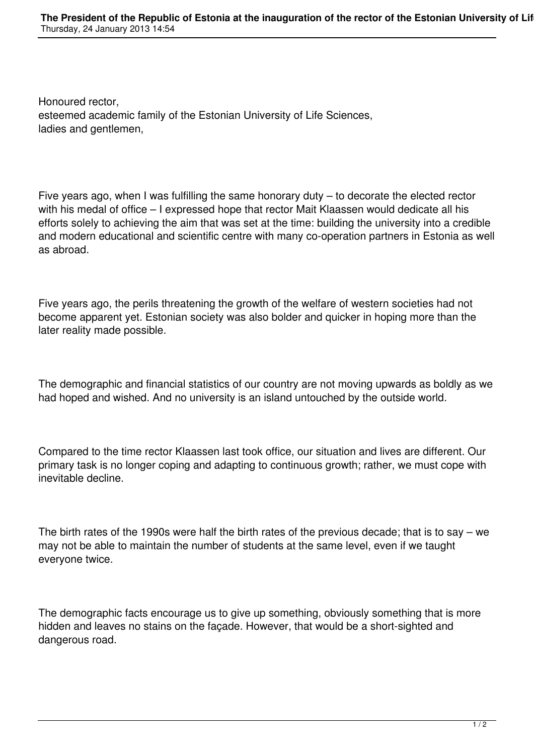Honoured rector, esteemed academic family of the Estonian University of Life Sciences, ladies and gentlemen,

Five years ago, when I was fulfilling the same honorary duty – to decorate the elected rector with his medal of office – I expressed hope that rector Mait Klaassen would dedicate all his efforts solely to achieving the aim that was set at the time: building the university into a credible and modern educational and scientific centre with many co-operation partners in Estonia as well as abroad.

Five years ago, the perils threatening the growth of the welfare of western societies had not become apparent yet. Estonian society was also bolder and quicker in hoping more than the later reality made possible.

The demographic and financial statistics of our country are not moving upwards as boldly as we had hoped and wished. And no university is an island untouched by the outside world.

Compared to the time rector Klaassen last took office, our situation and lives are different. Our primary task is no longer coping and adapting to continuous growth; rather, we must cope with inevitable decline.

The birth rates of the 1990s were half the birth rates of the previous decade; that is to say – we may not be able to maintain the number of students at the same level, even if we taught everyone twice.

The demographic facts encourage us to give up something, obviously something that is more hidden and leaves no stains on the façade. However, that would be a short-sighted and dangerous road.